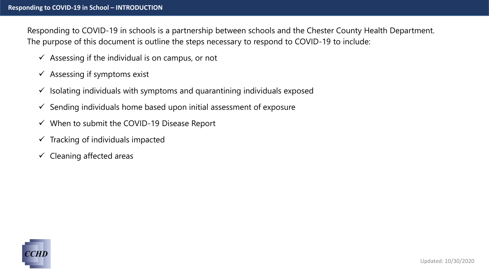Responding to COVID-19 in schools is a partnership between schools and the Chester County Health Department. The purpose of this document is outline the steps necessary to respond to COVID-19 to include:

- $\checkmark$  Assessing if the individual is on campus, or not
- $\checkmark$  Assessing if symptoms exist
- $\checkmark$  Isolating individuals with symptoms and quarantining individuals exposed
- $\checkmark$  Sending individuals home based upon initial assessment of exposure
- $\checkmark$  When to submit the COVID-19 Disease Report
- $\checkmark$  Tracking of individuals impacted
- $\checkmark$  Cleaning affected areas

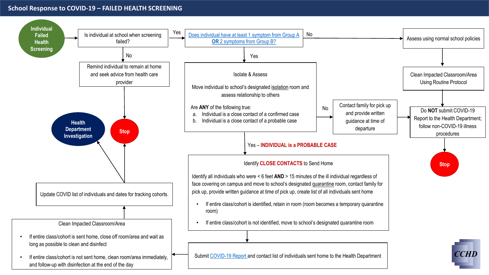## **School Response to COVID-19 – FAILED HEALTH SCREENING**

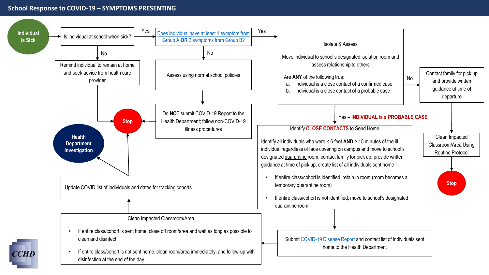#### **School Response to COVID-19 – SYMPTOMS PRESENTING**

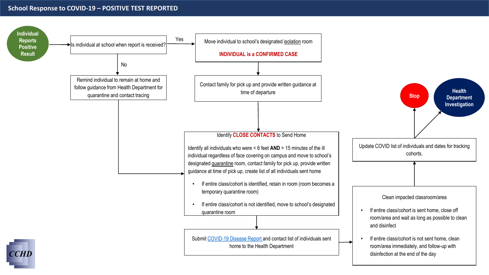### **School Response to COVID-19 – POSITIVE TEST REPORTED**

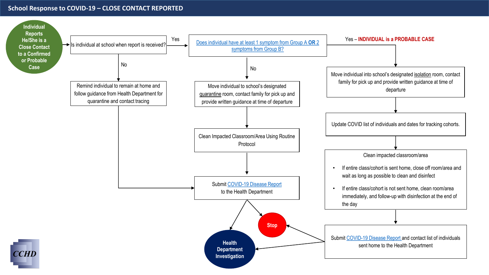### **School Response to COVID-19 – CLOSE CONTACT REPORTED**